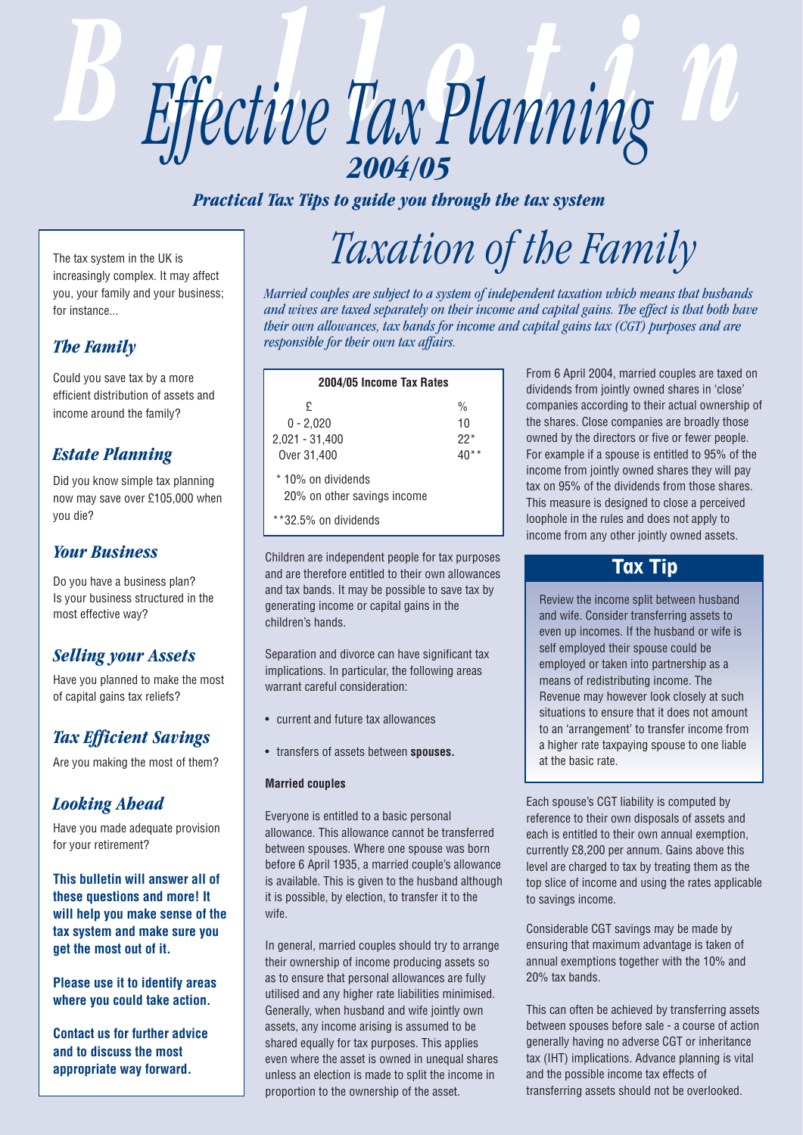

*Practical Tax Tips to guide you through the tax system*

The tax system in the UK is increasingly complex. It may affect you, your family and your business; for instance...

## *The Family*

Could you save tax by a more efficient distribution of assets and income around the family?

## *Estate Planning*

Did you know simple tax planning now may save over £105,000 when you die?

### *Your Business*

Do you have a business plan? Is your business structured in the most effective way?

## *Selling your Assets*

Have you planned to make the most of capital gains tax reliefs?

## *Tax Efficient Savings*

Are you making the most of them?

## *Looking Ahead*

Have you made adequate provision for your retirement?

**This bulletin will answer all of these questions and more! It will help you make sense of the tax system and make sure you get the most out of it.** 

**Please use it to identify areas where you could take action.**

**Contact us for further advice and to discuss the most appropriate way forward.**

# *Taxation of the Family*

*Married couples are subject to a system of independent taxation which means that husbands and wives are taxed separately on their income and capital gains. The effect is that both have their own allowances, tax bands for income and capital gains tax (CGT) purposes and are responsible for their own tax affairs.*

| 2004/05 Income Tax Rates                                                  |                              |  |  |
|---------------------------------------------------------------------------|------------------------------|--|--|
| £<br>$0 - 2.020$<br>2,021 - 31,400<br>Over 31,400                         | $\frac{0}{0}$<br>10<br>$22*$ |  |  |
| * 10% on dividends<br>20% on other savings income<br>**32.5% on dividends |                              |  |  |

Children are independent people for tax purposes and are therefore entitled to their own allowances and tax bands. It may be possible to save tax by generating income or capital gains in the children's hands.

Separation and divorce can have significant tax implications. In particular, the following areas warrant careful consideration:

- current and future tax allowances
- transfers of assets between **spouses.**

### **Married couples**

Everyone is entitled to a basic personal allowance. This allowance cannot be transferred between spouses. Where one spouse was born before 6 April 1935, a married couple's allowance is available. This is given to the husband although it is possible, by election, to transfer it to the wife.

In general, married couples should try to arrange their ownership of income producing assets so as to ensure that personal allowances are fully utilised and any higher rate liabilities minimised. Generally, when husband and wife jointly own assets, any income arising is assumed to be shared equally for tax purposes. This applies even where the asset is owned in unequal shares unless an election is made to split the income in proportion to the ownership of the asset.

From 6 April 2004, married couples are taxed on dividends from jointly owned shares in 'close' companies according to their actual ownership of the shares. Close companies are broadly those owned by the directors or five or fewer people. For example if a spouse is entitled to 95% of the income from jointly owned shares they will pay tax on 95% of the dividends from those shares. This measure is designed to close a perceived loophole in the rules and does not apply to income from any other jointly owned assets.

## Tax Tip

Review the income split between husband and wife. Consider transferring assets to even up incomes. If the husband or wife is self employed their spouse could be employed or taken into partnership as a means of redistributing income. The Revenue may however look closely at such situations to ensure that it does not amount to an 'arrangement' to transfer income from a higher rate taxpaying spouse to one liable at the basic rate.

Each spouse's CGT liability is computed by reference to their own disposals of assets and each is entitled to their own annual exemption, currently £8,200 per annum. Gains above this level are charged to tax by treating them as the top slice of income and using the rates applicable to savings income.

Considerable CGT savings may be made by ensuring that maximum advantage is taken of annual exemptions together with the 10% and 20% tax bands.

This can often be achieved by transferring assets between spouses before sale - a course of action generally having no adverse CGT or inheritance tax (IHT) implications. Advance planning is vital and the possible income tax effects of transferring assets should not be overlooked.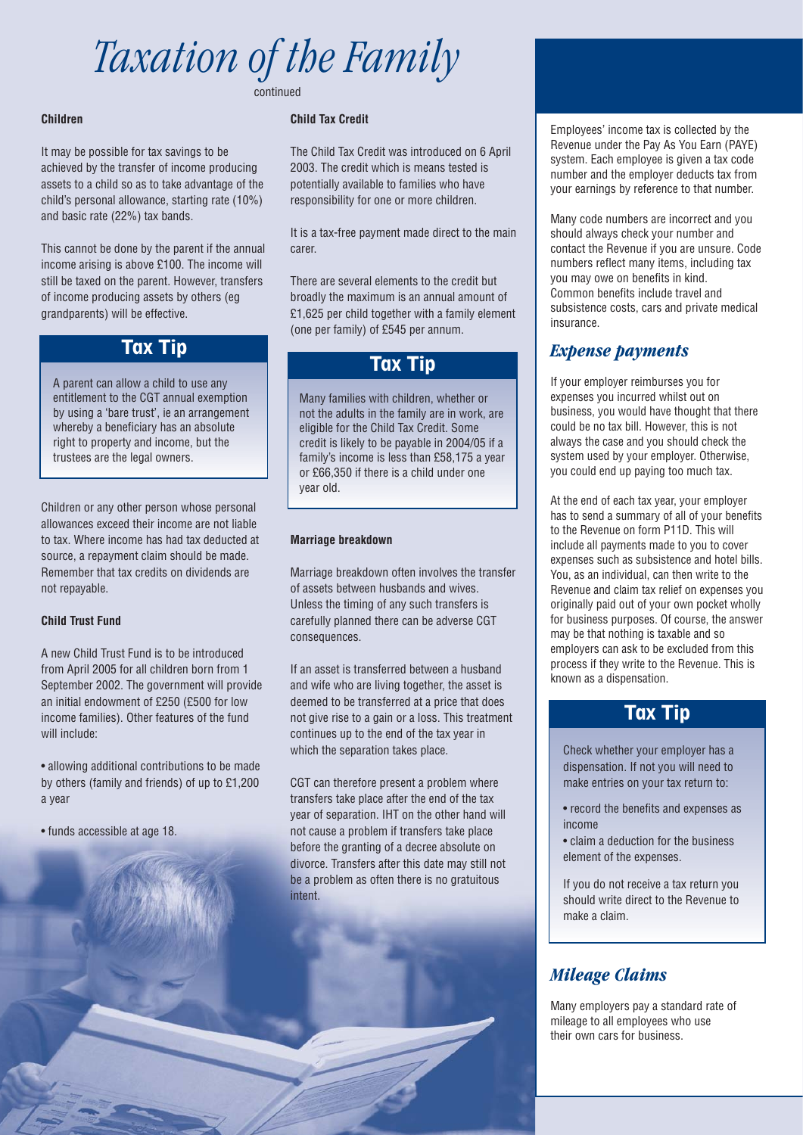# *Taxation of the Family* continued

#### **Children**

It may be possible for tax savings to be achieved by the transfer of income producing assets to a child so as to take advantage of the child's personal allowance, starting rate (10%) and basic rate (22%) tax bands.

This cannot be done by the parent if the annual income arising is above £100. The income will still be taxed on the parent. However, transfers of income producing assets by others (eg grandparents) will be effective.

## Tax Tip

A parent can allow a child to use any entitlement to the CGT annual exemption by using a 'bare trust', ie an arrangement whereby a beneficiary has an absolute right to property and income, but the trustees are the legal owners.

Children or any other person whose personal allowances exceed their income are not liable to tax. Where income has had tax deducted at source, a repayment claim should be made. Remember that tax credits on dividends are not repayable.

#### **Child Trust Fund**

A new Child Trust Fund is to be introduced from April 2005 for all children born from 1 September 2002. The government will provide an initial endowment of £250 (£500 for low income families). Other features of the fund will include:

• allowing additional contributions to be made by others (family and friends) of up to £1,200 a year

• funds accessible at age 18.

### **Child Tax Credit**

The Child Tax Credit was introduced on 6 April 2003. The credit which is means tested is potentially available to families who have responsibility for one or more children.

It is a tax-free payment made direct to the main carer.

There are several elements to the credit but broadly the maximum is an annual amount of £1,625 per child together with a family element (one per family) of £545 per annum.

## Tax Tip

Many families with children, whether or not the adults in the family are in work, are eligible for the Child Tax Credit. Some credit is likely to be payable in 2004/05 if a family's income is less than £58,175 a year or £66,350 if there is a child under one year old.

#### **Marriage breakdown**

Marriage breakdown often involves the transfer of assets between husbands and wives. Unless the timing of any such transfers is carefully planned there can be adverse CGT consequences.

If an asset is transferred between a husband and wife who are living together, the asset is deemed to be transferred at a price that does not give rise to a gain or a loss. This treatment continues up to the end of the tax year in which the separation takes place.

CGT can therefore present a problem where transfers take place after the end of the tax year of separation. IHT on the other hand will not cause a problem if transfers take place before the granting of a decree absolute on divorce. Transfers after this date may still not be a problem as often there is no gratuitous intent.

Employees' income tax is collected by the Revenue under the Pay As You Earn (PAYE) system. Each employee is given a tax code number and the employer deducts tax from your earnings by reference to that number.

Many code numbers are incorrect and you should always check your number and contact the Revenue if you are unsure. Code numbers reflect many items, including tax you may owe on benefits in kind. Common benefits include travel and subsistence costs, cars and private medical insurance.

### *Expense payments*

If your employer reimburses you for expenses you incurred whilst out on business, you would have thought that there could be no tax bill. However, this is not always the case and you should check the system used by your employer. Otherwise, you could end up paying too much tax.

At the end of each tax year, your employer has to send a summary of all of your benefits to the Revenue on form P11D. This will include all payments made to you to cover expenses such as subsistence and hotel bills. You, as an individual, can then write to the Revenue and claim tax relief on expenses you originally paid out of your own pocket wholly for business purposes. Of course, the answer may be that nothing is taxable and so employers can ask to be excluded from this process if they write to the Revenue. This is known as a dispensation.

## Tax Tip

Check whether your employer has a dispensation. If not you will need to make entries on your tax return to:

- record the benefits and expenses as income
- claim a deduction for the business element of the expenses.

If you do not receive a tax return you should write direct to the Revenue to make a claim.

# *Mileage Claims*

Many employers pay a standard rate of mileage to all employees who use their own cars for business.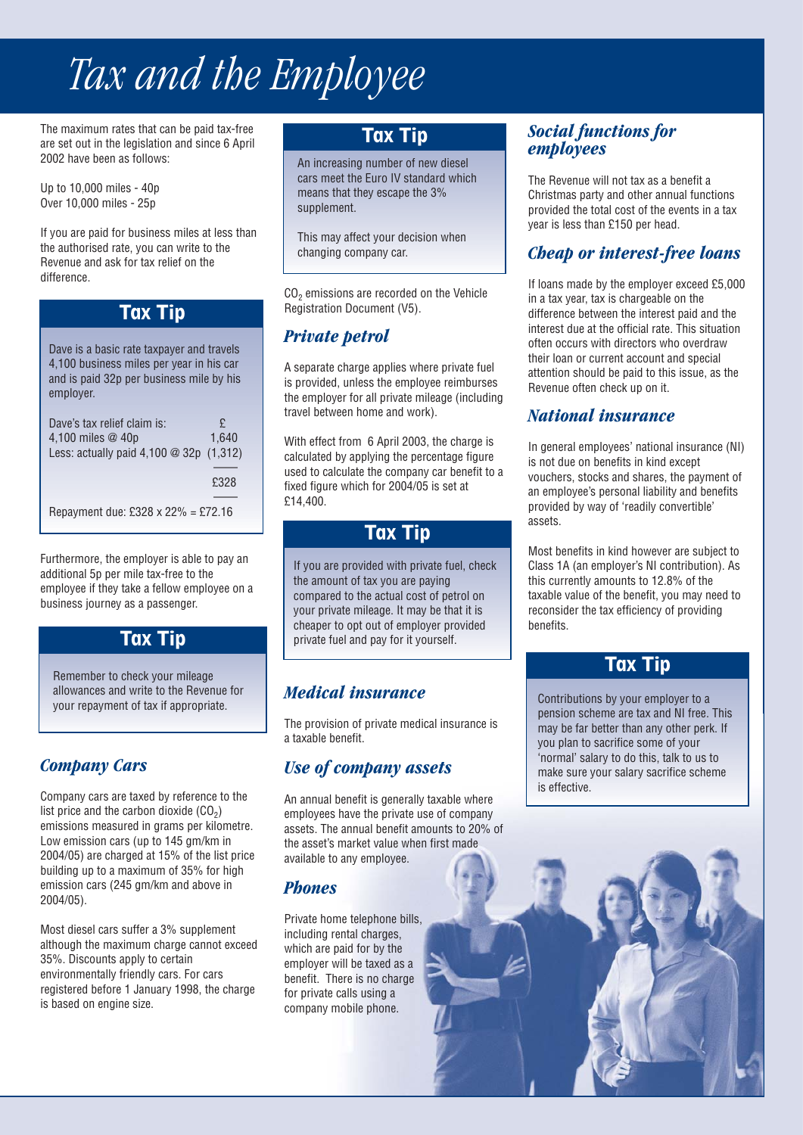# *Tax and the Employee*

The maximum rates that can be paid tax-free are set out in the legislation and since 6 April 2002 have been as follows:

Up to 10,000 miles - 40p Over 10,000 miles - 25p

If you are paid for business miles at less than the authorised rate, you can write to the Revenue and ask for tax relief on the difference.

# Tax Tip

Dave is a basic rate taxpayer and travels 4,100 business miles per year in his car and is paid 32p per business mile by his employer.

| Dave's tax relief claim is:<br>4,100 miles @ 40p<br>Less: actually paid 4,100 @ 32p (1,312) | £<br>1.640 |
|---------------------------------------------------------------------------------------------|------------|
|                                                                                             | £328       |
| Repayment due: £328 x 22% = £72.16                                                          |            |

Furthermore, the employer is able to pay an additional 5p per mile tax-free to the employee if they take a fellow employee on a business journey as a passenger.

# Tax Tip

Remember to check your mileage allowances and write to the Revenue for your repayment of tax if appropriate.

## *Company Cars*

Company cars are taxed by reference to the list price and the carbon dioxide  $(CO<sub>2</sub>)$ emissions measured in grams per kilometre. Low emission cars (up to 145 gm/km in 2004/05) are charged at 15% of the list price building up to a maximum of 35% for high emission cars (245 gm/km and above in 2004/05).

Most diesel cars suffer a 3% supplement although the maximum charge cannot exceed 35%. Discounts apply to certain environmentally friendly cars. For cars registered before 1 January 1998, the charge is based on engine size.

# Tax Tip

An increasing number of new diesel cars meet the Euro IV standard which means that they escape the 3% supplement.

This may affect your decision when changing company car.

CO<sub>2</sub> emissions are recorded on the Vehicle Registration Document (V5).

# *Private petrol*

A separate charge applies where private fuel is provided, unless the employee reimburses the employer for all private mileage (including travel between home and work).

With effect from 6 April 2003, the charge is calculated by applying the percentage figure used to calculate the company car benefit to a fixed figure which for 2004/05 is set at £14,400.

## Tax Tip

If you are provided with private fuel, check the amount of tax you are paying compared to the actual cost of petrol on your private mileage. It may be that it is cheaper to opt out of employer provided private fuel and pay for it yourself.

# *Medical insurance*

The provision of private medical insurance is a taxable benefit.

# *Use of company assets*

An annual benefit is generally taxable where employees have the private use of company assets. The annual benefit amounts to 20% of the asset's market value when first made available to any employee.

## *Phones*

Private home telephone bills, including rental charges, which are paid for by the employer will be taxed as a benefit. There is no charge for private calls using a company mobile phone.

## *Social functions for employees*

The Revenue will not tax as a benefit a Christmas party and other annual functions provided the total cost of the events in a tax year is less than £150 per head.

# *Cheap or interest-free loans*

If loans made by the employer exceed £5,000 in a tax year, tax is chargeable on the difference between the interest paid and the interest due at the official rate. This situation often occurs with directors who overdraw their loan or current account and special attention should be paid to this issue, as the Revenue often check up on it.

## *National insurance*

In general employees' national insurance (NI) is not due on benefits in kind except vouchers, stocks and shares, the payment of an employee's personal liability and benefits provided by way of 'readily convertible' assets.

Most benefits in kind however are subject to Class 1A (an employer's NI contribution). As this currently amounts to 12.8% of the taxable value of the benefit, you may need to reconsider the tax efficiency of providing benefits.

## Tax Tip

Contributions by your employer to a pension scheme are tax and NI free. This may be far better than any other perk. If you plan to sacrifice some of your 'normal' salary to do this, talk to us to make sure your salary sacrifice scheme is effective.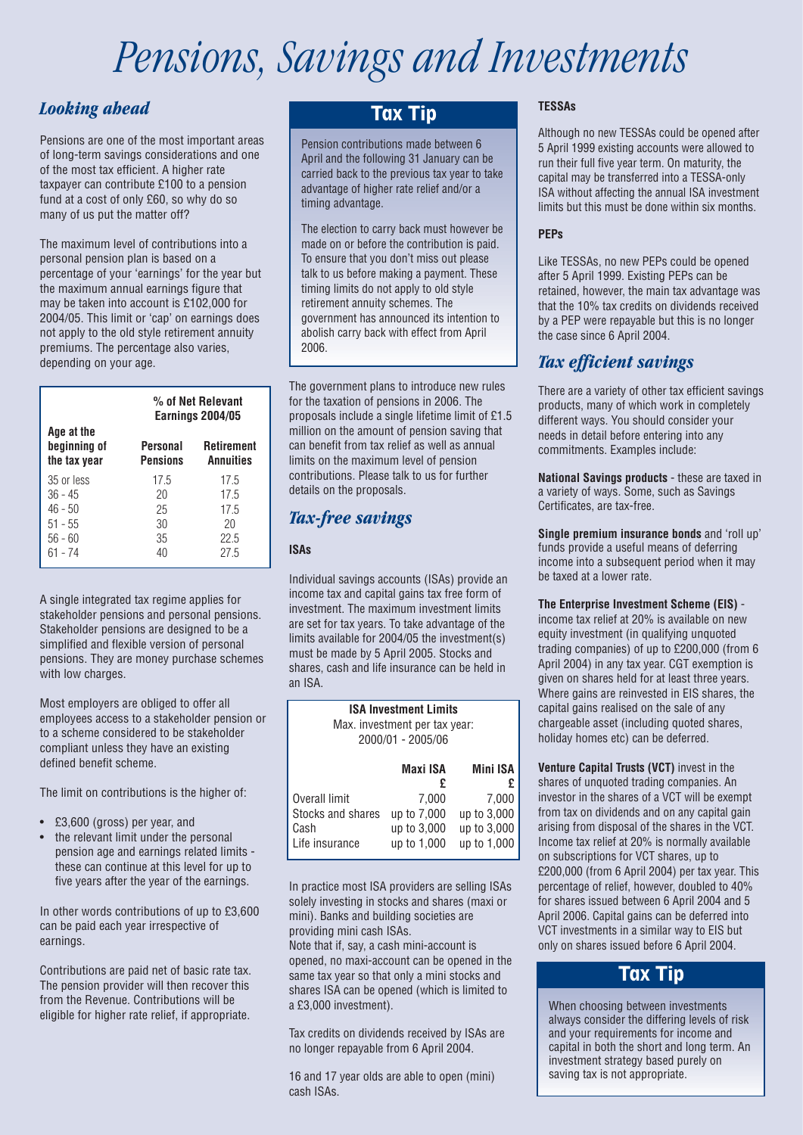# *Pensions, Savings and Investments*

## *Looking ahead*

Pensions are one of the most important areas of long-term savings considerations and one of the most tax efficient. A higher rate taxpayer can contribute £100 to a pension fund at a cost of only £60, so why do so many of us put the matter off?

The maximum level of contributions into a personal pension plan is based on a percentage of your 'earnings' for the year but the maximum annual earnings figure that may be taken into account is £102,000 for 2004/05. This limit or 'cap' on earnings does not apply to the old style retirement annuity premiums. The percentage also varies, depending on your age.

|                                                                           | % of Net Relevant<br><b>Earnings 2004/05</b> |                                            |
|---------------------------------------------------------------------------|----------------------------------------------|--------------------------------------------|
| Age at the<br>beginning of<br>the tax year                                | Personal<br><b>Pensions</b>                  | Retirement<br><b>Annuities</b>             |
| 35 or less<br>$36 - 45$<br>$46 - 50$<br>$51 - 55$<br>$56 - 60$<br>61 - 74 | 17.5<br>20<br>25<br>30<br>35<br>40           | 17.5<br>17.5<br>17.5<br>20<br>22.5<br>27.5 |

A single integrated tax regime applies for stakeholder pensions and personal pensions. Stakeholder pensions are designed to be a simplified and flexible version of personal pensions. They are money purchase schemes with low charges.

Most employers are obliged to offer all employees access to a stakeholder pension or to a scheme considered to be stakeholder compliant unless they have an existing defined benefit scheme.

The limit on contributions is the higher of:

- £3,600 (gross) per year, and
- the relevant limit under the personal pension age and earnings related limits these can continue at this level for up to five years after the year of the earnings.

In other words contributions of up to £3,600 can be paid each year irrespective of earnings.

Contributions are paid net of basic rate tax. The pension provider will then recover this from the Revenue. Contributions will be eligible for higher rate relief, if appropriate.

## Tax Tip

Pension contributions made between 6 April and the following 31 January can be carried back to the previous tax year to take advantage of higher rate relief and/or a timing advantage.

The election to carry back must however be made on or before the contribution is paid. To ensure that you don't miss out please talk to us before making a payment. These timing limits do not apply to old style retirement annuity schemes. The government has announced its intention to abolish carry back with effect from April 2006.

The government plans to introduce new rules for the taxation of pensions in 2006. The proposals include a single lifetime limit of £1.5 million on the amount of pension saving that can benefit from tax relief as well as annual limits on the maximum level of pension contributions. Please talk to us for further details on the proposals.

## *Tax-free savings*

### **ISAs**

Individual savings accounts (ISAs) provide an income tax and capital gains tax free form of investment. The maximum investment limits are set for tax years. To take advantage of the limits available for 2004/05 the investment(s) must be made by 5 April 2005. Stocks and shares, cash and life insurance can be held in an ISA.

| <b>ISA Investment Limits</b><br>Max. investment per tax year:<br>2000/01 - 2005/06 |                                                    |                                                    |  |
|------------------------------------------------------------------------------------|----------------------------------------------------|----------------------------------------------------|--|
|                                                                                    | Maxi ISA<br>£                                      | <b>Mini ISA</b>                                    |  |
| Overall limit<br>Stocks and shares<br>Cash<br>Life insurance                       | 7.000<br>up to 7,000<br>up to 3,000<br>up to 1,000 | 7,000<br>up to 3,000<br>up to 3,000<br>up to 1,000 |  |

In practice most ISA providers are selling ISAs solely investing in stocks and shares (maxi or mini). Banks and building societies are providing mini cash ISAs.

Note that if, say, a cash mini-account is opened, no maxi-account can be opened in the same tax year so that only a mini stocks and shares ISA can be opened (which is limited to a £3,000 investment).

Tax credits on dividends received by ISAs are no longer repayable from 6 April 2004.

16 and 17 year olds are able to open (mini) cash ISAs.

### **TESSAs**

Although no new TESSAs could be opened after 5 April 1999 existing accounts were allowed to run their full five year term. On maturity, the capital may be transferred into a TESSA-only ISA without affecting the annual ISA investment limits but this must be done within six months.

### **PEPs**

Like TESSAs, no new PEPs could be opened after 5 April 1999. Existing PEPs can be retained, however, the main tax advantage was that the 10% tax credits on dividends received by a PEP were repayable but this is no longer the case since 6 April 2004.

## *Tax efficient savings*

There are a variety of other tax efficient savings products, many of which work in completely different ways. You should consider your needs in detail before entering into any commitments. Examples include:

**National Savings products** - these are taxed in a variety of ways. Some, such as Savings Certificates, are tax-free.

**Single premium insurance bonds** and 'roll up' funds provide a useful means of deferring income into a subsequent period when it may be taxed at a lower rate.

### **The Enterprise Investment Scheme (EIS)** -

income tax relief at 20% is available on new equity investment (in qualifying unquoted trading companies) of up to £200,000 (from 6 April 2004) in any tax year. CGT exemption is given on shares held for at least three years. Where gains are reinvested in EIS shares, the capital gains realised on the sale of any chargeable asset (including quoted shares, holiday homes etc) can be deferred.

**Venture Capital Trusts (VCT)** invest in the shares of unquoted trading companies. An investor in the shares of a VCT will be exempt from tax on dividends and on any capital gain arising from disposal of the shares in the VCT. Income tax relief at 20% is normally available on subscriptions for VCT shares, up to £200,000 (from 6 April 2004) per tax year. This percentage of relief, however, doubled to 40% for shares issued between 6 April 2004 and 5 April 2006. Capital gains can be deferred into VCT investments in a similar way to EIS but only on shares issued before 6 April 2004.

# Tax Tip

When choosing between investments always consider the differing levels of risk and your requirements for income and capital in both the short and long term. An investment strategy based purely on saving tax is not appropriate.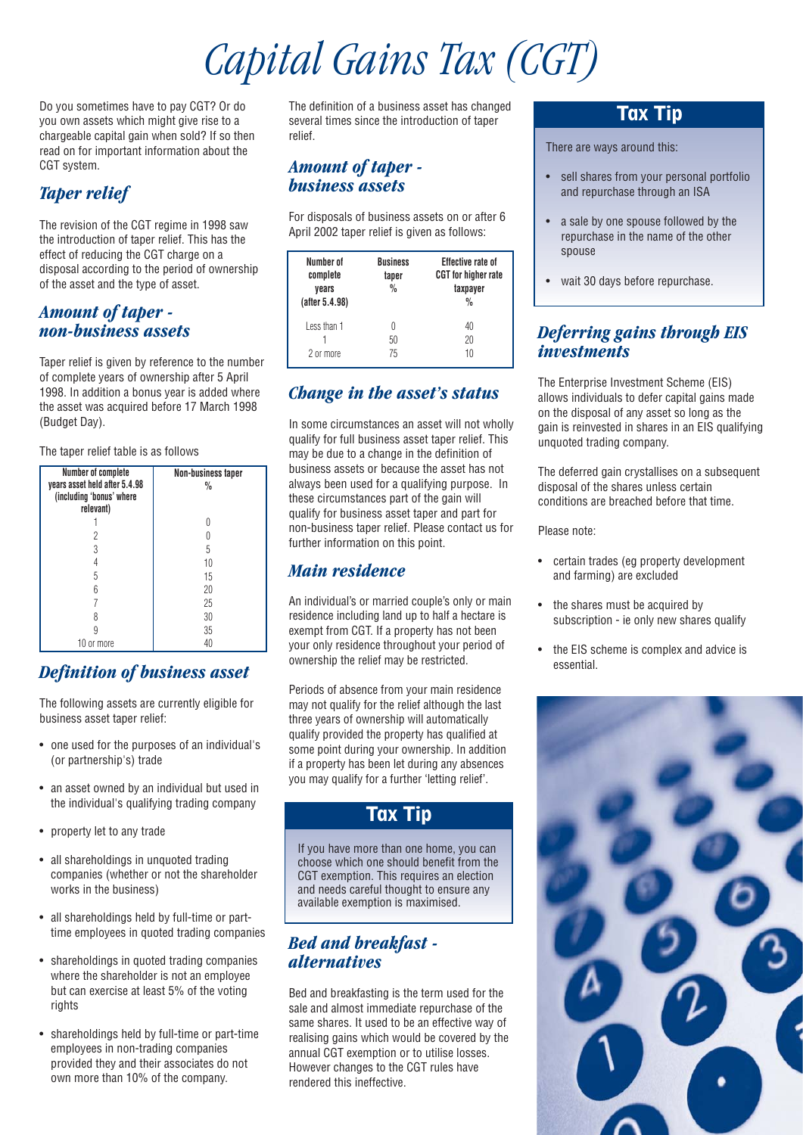# *Capital Gains Tax (CGT)*

Do you sometimes have to pay CGT? Or do you own assets which might give rise to a chargeable capital gain when sold? If so then read on for important information about the CGT system.

# *Taper relief*

The revision of the CGT regime in 1998 saw the introduction of taper relief. This has the effect of reducing the CGT charge on a disposal according to the period of ownership of the asset and the type of asset.

### *Amount of taper non-business assets*

Taper relief is given by reference to the number of complete years of ownership after 5 April 1998. In addition a bonus year is added where the asset was acquired before 17 March 1998 (Budget Day).

### The taper relief table is as follows

| Number of complete<br>years asset held after 5.4.98<br>(including 'bonus' where<br>relevant) | Non-business taper<br>$\frac{0}{0}$ |
|----------------------------------------------------------------------------------------------|-------------------------------------|
|                                                                                              |                                     |
|                                                                                              |                                     |
| 3                                                                                            | 5                                   |
|                                                                                              | 10                                  |
| 5                                                                                            | 15                                  |
|                                                                                              | 20                                  |
|                                                                                              | 25                                  |
|                                                                                              | 30                                  |
|                                                                                              | 35                                  |
| 10 or more                                                                                   | 40                                  |

## *Definition of business asset*

The following assets are currently eligible for business asset taper relief:

- one used for the purposes of an individual's (or partnership's) trade
- an asset owned by an individual but used in the individual's qualifying trading company
- property let to any trade
- all shareholdings in unquoted trading companies (whether or not the shareholder works in the business)
- all shareholdings held by full-time or parttime employees in quoted trading companies
- shareholdings in quoted trading companies where the shareholder is not an employee but can exercise at least 5% of the voting rights
- shareholdings held by full-time or part-time employees in non-trading companies provided they and their associates do not own more than 10% of the company.

The definition of a business asset has changed several times since the introduction of taper relief.

### *Amount of taper business assets*

For disposals of business assets on or after 6 April 2002 taper relief is given as follows:

| Number of<br>complete<br>vears<br>(after 5.4.98) | <b>Business</b><br>taper<br>$\frac{0}{0}$ | <b>Effective rate of</b><br><b>CGT</b> for higher rate<br>taxpayer<br>$\frac{0}{n}$ |
|--------------------------------------------------|-------------------------------------------|-------------------------------------------------------------------------------------|
| Less than 1<br>2 or more                         | 50<br>75                                  | 40<br>20<br>10                                                                      |

## *Change in the asset's status*

In some circumstances an asset will not wholly qualify for full business asset taper relief. This may be due to a change in the definition of business assets or because the asset has not always been used for a qualifying purpose. In these circumstances part of the gain will qualify for business asset taper and part for non-business taper relief. Please contact us for further information on this point.

### *Main residence*

An individual's or married couple's only or main residence including land up to half a hectare is exempt from CGT. If a property has not been your only residence throughout your period of ownership the relief may be restricted.

Periods of absence from your main residence may not qualify for the relief although the last three years of ownership will automatically qualify provided the property has qualified at some point during your ownership. In addition if a property has been let during any absences you may qualify for a further 'letting relief'.

# Tax Tip

If you have more than one home, you can choose which one should benefit from the CGT exemption. This requires an election and needs careful thought to ensure any available exemption is maximised.

### *Bed and breakfast alternatives*

Bed and breakfasting is the term used for the sale and almost immediate repurchase of the same shares. It used to be an effective way of realising gains which would be covered by the annual CGT exemption or to utilise losses. However changes to the CGT rules have rendered this ineffective.

## Tax Tip

There are ways around this:

- sell shares from your personal portfolio and repurchase through an ISA
- a sale by one spouse followed by the repurchase in the name of the other spouse
- wait 30 days before repurchase.

### *Deferring gains through EIS investments*

The Enterprise Investment Scheme (EIS) allows individuals to defer capital gains made on the disposal of any asset so long as the gain is reinvested in shares in an EIS qualifying unquoted trading company.

The deferred gain crystallises on a subsequent disposal of the shares unless certain conditions are breached before that time.

Please note:

- certain trades (eg property development and farming) are excluded
- the shares must be acquired by subscription - ie only new shares qualify
- the EIS scheme is complex and advice is essential.

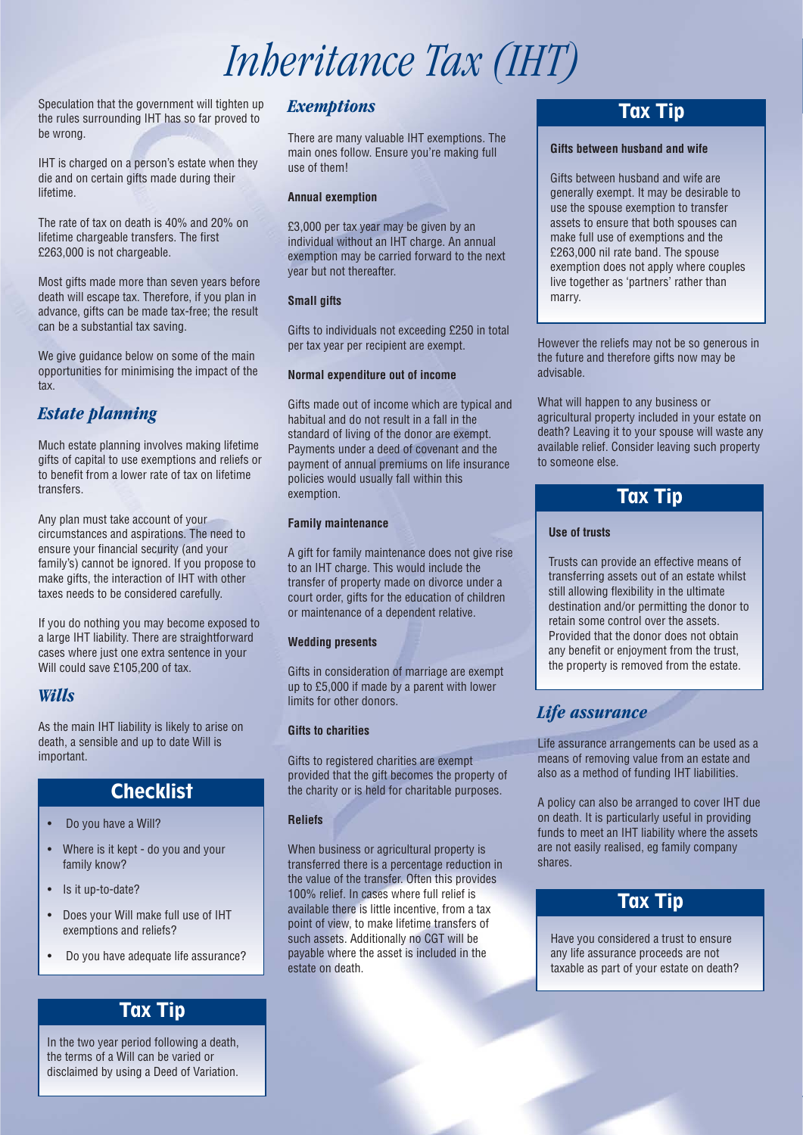# *Inheritance Tax (IHT)*

Speculation that the government will tighten up the rules surrounding IHT has so far proved to be wrong.

IHT is charged on a person's estate when they die and on certain gifts made during their lifetime.

The rate of tax on death is 40% and 20% on lifetime chargeable transfers. The first £263,000 is not chargeable.

Most gifts made more than seven years before death will escape tax. Therefore, if you plan in advance, gifts can be made tax-free; the result can be a substantial tax saving.

We give guidance below on some of the main opportunities for minimising the impact of the tax.

# *Estate planning*

Much estate planning involves making lifetime gifts of capital to use exemptions and reliefs or to benefit from a lower rate of tax on lifetime transfers.

Any plan must take account of your circumstances and aspirations. The need to ensure your financial security (and your family's) cannot be ignored. If you propose to make gifts, the interaction of IHT with other taxes needs to be considered carefully.

If you do nothing you may become exposed to a large IHT liability. There are straightforward cases where just one extra sentence in your Will could save £105,200 of tax.

### *Wills*

As the main IHT liability is likely to arise on death, a sensible and up to date Will is important.

## **Checklist**

- Do you have a Will?
- Where is it kept do you and your family know?
- Is it up-to-date?
- Does your Will make full use of IHT exemptions and reliefs?
- Do you have adequate life assurance?

# Tax Tip

In the two year period following a death, the terms of a Will can be varied or disclaimed by using a Deed of Variation.

### *Exemptions*

There are many valuable IHT exemptions. The main ones follow. Ensure you're making full use of them!

#### **Annual exemption**

£3,000 per tax year may be given by an individual without an IHT charge. An annual exemption may be carried forward to the next year but not thereafter.

### **Small gifts**

Gifts to individuals not exceeding £250 in total per tax year per recipient are exempt.

#### **Normal expenditure out of income**

Gifts made out of income which are typical and habitual and do not result in a fall in the standard of living of the donor are exempt. Payments under a deed of covenant and the payment of annual premiums on life insurance policies would usually fall within this exemption.

#### **Family maintenance**

A gift for family maintenance does not give rise to an IHT charge. This would include the transfer of property made on divorce under a court order, gifts for the education of children or maintenance of a dependent relative.

### **Wedding presents**

Gifts in consideration of marriage are exempt up to £5,000 if made by a parent with lower limits for other donors.

### **Gifts to charities**

Gifts to registered charities are exempt provided that the gift becomes the property of the charity or is held for charitable purposes.

### **Reliefs**

When business or agricultural property is transferred there is a percentage reduction in the value of the transfer. Often this provides 100% relief. In cases where full relief is available there is little incentive, from a tax point of view, to make lifetime transfers of such assets. Additionally no CGT will be payable where the asset is included in the estate on death.

## Tax Tip

#### **Gifts between husband and wife**

Gifts between husband and wife are generally exempt. It may be desirable to use the spouse exemption to transfer assets to ensure that both spouses can make full use of exemptions and the £263,000 nil rate band. The spouse exemption does not apply where couples live together as 'partners' rather than marry.

However the reliefs may not be so generous in the future and therefore gifts now may be advisable.

What will happen to any business or agricultural property included in your estate on death? Leaving it to your spouse will waste any available relief. Consider leaving such property to someone else.

# Tax Tip

### **Use of trusts**

Trusts can provide an effective means of transferring assets out of an estate whilst still allowing flexibility in the ultimate destination and/or permitting the donor to retain some control over the assets. Provided that the donor does not obtain any benefit or enjoyment from the trust, the property is removed from the estate.

## *Life assurance*

Life assurance arrangements can be used as a means of removing value from an estate and also as a method of funding IHT liabilities.

A policy can also be arranged to cover IHT due on death. It is particularly useful in providing funds to meet an IHT liability where the assets are not easily realised, eg family company shares.

# Tax Tip

Have you considered a trust to ensure any life assurance proceeds are not taxable as part of your estate on death?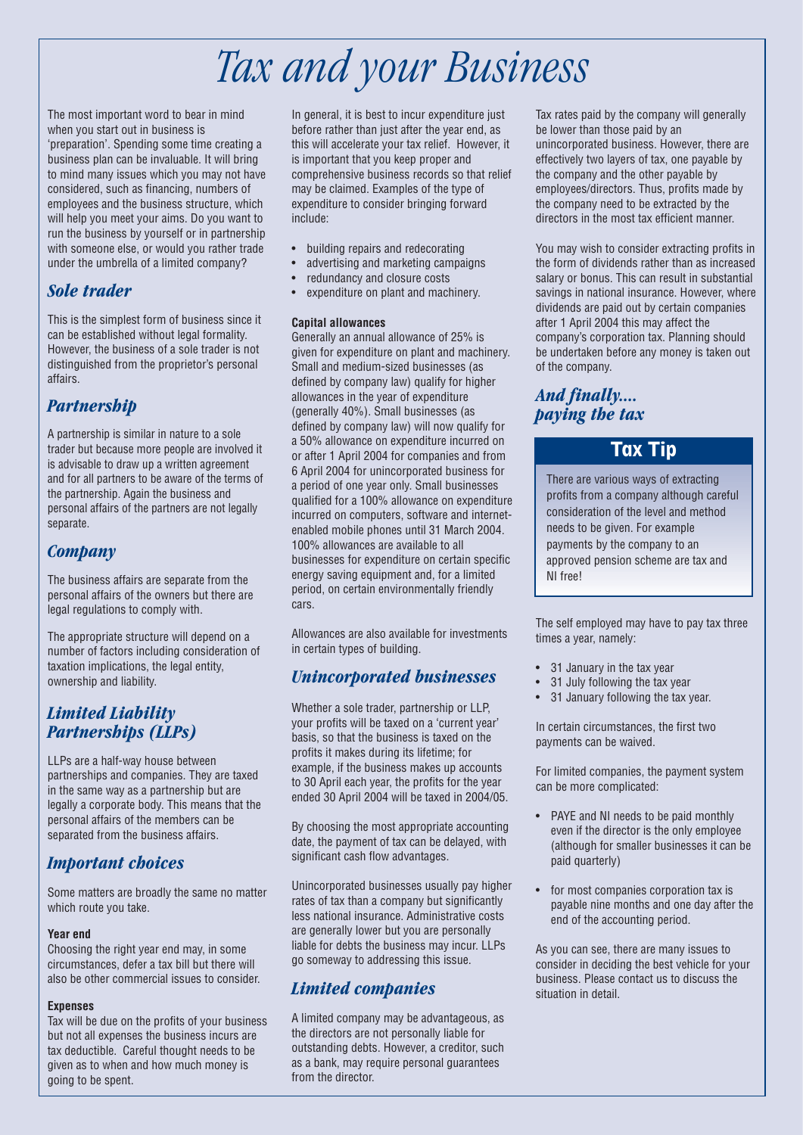# *Tax and your Business*

The most important word to bear in mind when you start out in business is 'preparation'. Spending some time creating a business plan can be invaluable. It will bring to mind many issues which you may not have considered, such as financing, numbers of employees and the business structure, which will help you meet your aims. Do you want to run the business by yourself or in partnership with someone else, or would you rather trade under the umbrella of a limited company?

## *Sole trader*

This is the simplest form of business since it can be established without legal formality. However, the business of a sole trader is not distinguished from the proprietor's personal affairs.

## *Partnership*

A partnership is similar in nature to a sole trader but because more people are involved it is advisable to draw up a written agreement and for all partners to be aware of the terms of the partnership. Again the business and personal affairs of the partners are not legally separate.

## *Company*

The business affairs are separate from the personal affairs of the owners but there are legal regulations to comply with.

The appropriate structure will depend on a number of factors including consideration of taxation implications, the legal entity, ownership and liability.

### *Limited Liability Partnerships (LLPs)*

LLPs are a half-way house between partnerships and companies. They are taxed in the same way as a partnership but are legally a corporate body. This means that the personal affairs of the members can be separated from the business affairs.

## *Important choices*

Some matters are broadly the same no matter which route you take.

### **Year end**

Choosing the right year end may, in some circumstances, defer a tax bill but there will also be other commercial issues to consider.

### **Expenses**

Tax will be due on the profits of your business but not all expenses the business incurs are tax deductible. Careful thought needs to be given as to when and how much money is going to be spent.

In general, it is best to incur expenditure just before rather than just after the year end, as this will accelerate your tax relief. However, it is important that you keep proper and comprehensive business records so that relief may be claimed. Examples of the type of expenditure to consider bringing forward include:

- building repairs and redecorating
- advertising and marketing campaigns
- redundancy and closure costs
- expenditure on plant and machinery.

### **Capital allowances**

Generally an annual allowance of 25% is given for expenditure on plant and machinery. Small and medium-sized businesses (as defined by company law) qualify for higher allowances in the year of expenditure (generally 40%). Small businesses (as defined by company law) will now qualify for a 50% allowance on expenditure incurred on or after 1 April 2004 for companies and from 6 April 2004 for unincorporated business for a period of one year only. Small businesses qualified for a 100% allowance on expenditure incurred on computers, software and internetenabled mobile phones until 31 March 2004. 100% allowances are available to all businesses for expenditure on certain specific energy saving equipment and, for a limited period, on certain environmentally friendly cars.

Allowances are also available for investments in certain types of building.

## *Unincorporated businesses*

Whether a sole trader, partnership or LLP, your profits will be taxed on a 'current year' basis, so that the business is taxed on the profits it makes during its lifetime; for example, if the business makes up accounts to 30 April each year, the profits for the year ended 30 April 2004 will be taxed in 2004/05.

By choosing the most appropriate accounting date, the payment of tax can be delayed, with significant cash flow advantages.

Unincorporated businesses usually pay higher rates of tax than a company but significantly less national insurance. Administrative costs are generally lower but you are personally liable for debts the business may incur. LLPs go someway to addressing this issue.

## *Limited companies*

A limited company may be advantageous, as the directors are not personally liable for outstanding debts. However, a creditor, such as a bank, may require personal guarantees from the director.

Tax rates paid by the company will generally be lower than those paid by an unincorporated business. However, there are effectively two layers of tax, one payable by the company and the other payable by employees/directors. Thus, profits made by the company need to be extracted by the directors in the most tax efficient manner.

You may wish to consider extracting profits in the form of dividends rather than as increased salary or bonus. This can result in substantial savings in national insurance. However, where dividends are paid out by certain companies after 1 April 2004 this may affect the company's corporation tax. Planning should be undertaken before any money is taken out of the company.

## *And finally.... paying the tax*

## Tax Tip

There are various ways of extracting profits from a company although careful consideration of the level and method needs to be given. For example payments by the company to an approved pension scheme are tax and NI free!

The self employed may have to pay tax three times a year, namely:

- 31 January in the tax year
- 31 July following the tax year
- 31 January following the tax year.

In certain circumstances, the first two payments can be waived.

For limited companies, the payment system can be more complicated:

- PAYE and NI needs to be paid monthly even if the director is the only employee (although for smaller businesses it can be paid quarterly)
- for most companies corporation tax is payable nine months and one day after the end of the accounting period.

As you can see, there are many issues to consider in deciding the best vehicle for your business. Please contact us to discuss the situation in detail.